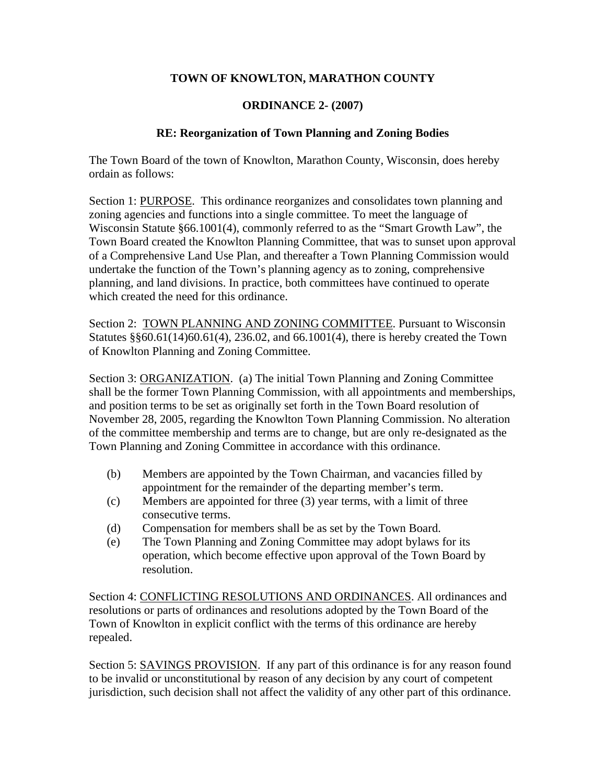## **TOWN OF KNOWLTON, MARATHON COUNTY**

## **ORDINANCE 2- (2007)**

## **RE: Reorganization of Town Planning and Zoning Bodies**

The Town Board of the town of Knowlton, Marathon County, Wisconsin, does hereby ordain as follows:

Section 1: PURPOSE. This ordinance reorganizes and consolidates town planning and zoning agencies and functions into a single committee. To meet the language of Wisconsin Statute §66.1001(4), commonly referred to as the "Smart Growth Law", the Town Board created the Knowlton Planning Committee, that was to sunset upon approval of a Comprehensive Land Use Plan, and thereafter a Town Planning Commission would undertake the function of the Town's planning agency as to zoning, comprehensive planning, and land divisions. In practice, both committees have continued to operate which created the need for this ordinance.

Section 2: TOWN PLANNING AND ZONING COMMITTEE. Pursuant to Wisconsin Statutes §§60.61(14)60.61(4), 236.02, and 66.1001(4), there is hereby created the Town of Knowlton Planning and Zoning Committee.

Section 3: ORGANIZATION. (a) The initial Town Planning and Zoning Committee shall be the former Town Planning Commission, with all appointments and memberships, and position terms to be set as originally set forth in the Town Board resolution of November 28, 2005, regarding the Knowlton Town Planning Commission. No alteration of the committee membership and terms are to change, but are only re-designated as the Town Planning and Zoning Committee in accordance with this ordinance.

- (b) Members are appointed by the Town Chairman, and vacancies filled by appointment for the remainder of the departing member's term.
- (c) Members are appointed for three (3) year terms, with a limit of three consecutive terms.
- (d) Compensation for members shall be as set by the Town Board.
- (e) The Town Planning and Zoning Committee may adopt bylaws for its operation, which become effective upon approval of the Town Board by resolution.

Section 4: CONFLICTING RESOLUTIONS AND ORDINANCES. All ordinances and resolutions or parts of ordinances and resolutions adopted by the Town Board of the Town of Knowlton in explicit conflict with the terms of this ordinance are hereby repealed.

Section 5: SAVINGS PROVISION. If any part of this ordinance is for any reason found to be invalid or unconstitutional by reason of any decision by any court of competent jurisdiction, such decision shall not affect the validity of any other part of this ordinance.